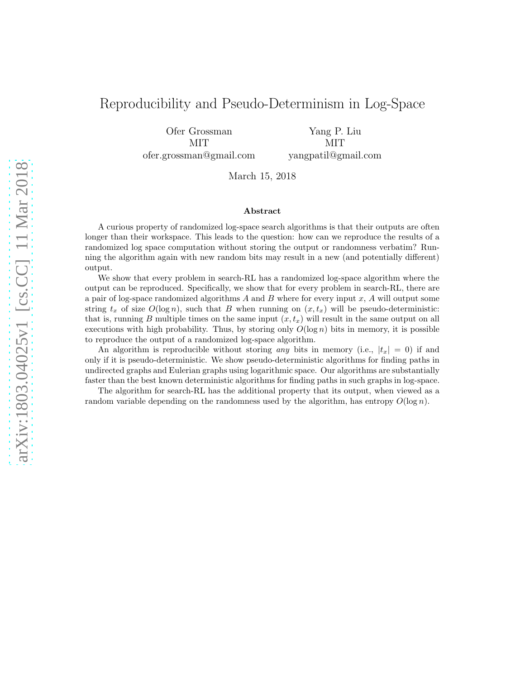# Reproducibility and Pseudo-Determinism in Log-Space

Ofer Grossman MIT ofer.grossman@gmail.com

Yang P. Liu MIT yangpatil@gmail.com

March 15, 2018

#### Abstract

A curious property of randomized log-space search algorithms is that their outputs are often longer than their workspace. This leads to the question: how can we reproduce the results of a randomized log space computation without storing the output or randomness verbatim? Running the algorithm again with new random bits may result in a new (and potentially different) output.

We show that every problem in search-RL has a randomized log-space algorithm where the output can be reproduced. Specifically, we show that for every problem in search-RL, there are a pair of log-space randomized algorithms  $A$  and  $B$  where for every input  $x$ ,  $A$  will output some string  $t_x$  of size  $O(\log n)$ , such that B when running on  $(x, t_x)$  will be pseudo-deterministic: that is, running B multiple times on the same input  $(x, t_x)$  will result in the same output on all executions with high probability. Thus, by storing only  $O(\log n)$  bits in memory, it is possible to reproduce the output of a randomized log-space algorithm.

An algorithm is reproducible without storing *any* bits in memory (i.e.,  $|t_x| = 0$ ) if and only if it is pseudo-deterministic. We show pseudo-deterministic algorithms for finding paths in undirected graphs and Eulerian graphs using logarithmic space. Our algorithms are substantially faster than the best known deterministic algorithms for finding paths in such graphs in log-space.

The algorithm for search-RL has the additional property that its output, when viewed as a random variable depending on the randomness used by the algorithm, has entropy  $O(\log n)$ .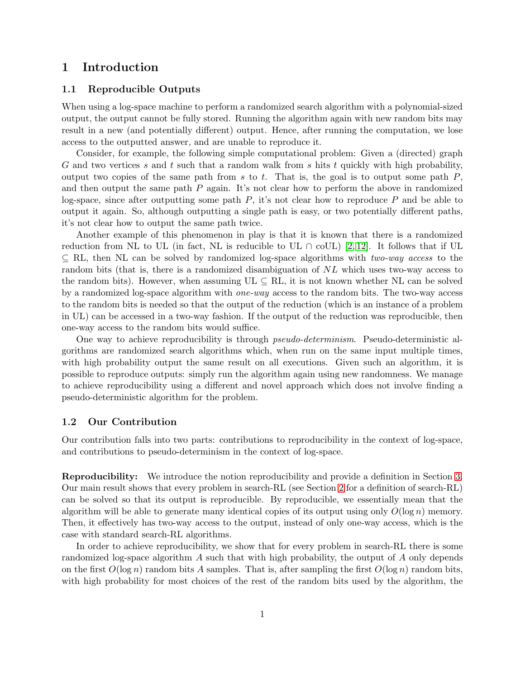## 1 Introduction

### 1.1 Reproducible Outputs

When using a log-space machine to perform a randomized search algorithm with a polynomial-sized output, the output cannot be fully stored. Running the algorithm again with new random bits may result in a new (and potentially different) output. Hence, after running the computation, we lose access to the outputted answer, and are unable to reproduce it.

Consider, for example, the following simple computational problem: Given a (directed) graph G and two vertices s and t such that a random walk from s hits t quickly with high probability, output two copies of the same path from s to t. That is, the goal is to output some path  $P$ . and then output the same path  $P$  again. It's not clear how to perform the above in randomized log-space, since after outputting some path  $P$ , it's not clear how to reproduce  $P$  and be able to output it again. So, although outputting a single path is easy, or two potentially different paths, it's not clear how to output the same path twice.

Another example of this phenomenon in play is that it is known that there is a randomized reduction from NL to UL (in fact, NL is reducible to UL  $\cap$  coUL) [\[2,](#page-18-0) [12\]](#page-19-0). It follows that if UL ⊆ RL, then NL can be solved by randomized log-space algorithms with *two-way access* to the random bits (that is, there is a randomized disambiguation of NL which uses two-way access to the random bits). However, when assuming  $UL \subseteq RL$ , it is not known whether NL can be solved by a randomized log-space algorithm with *one-way* access to the random bits. The two-way access to the random bits is needed so that the output of the reduction (which is an instance of a problem in UL) can be accessed in a two-way fashion. If the output of the reduction was reproducible, then one-way access to the random bits would suffice.

One way to achieve reproducibility is through *pseudo-determinism*. Pseudo-deterministic algorithms are randomized search algorithms which, when run on the same input multiple times, with high probability output the same result on all executions. Given such an algorithm, it is possible to reproduce outputs: simply run the algorithm again using new randomness. We manage to achieve reproducibility using a different and novel approach which does not involve finding a pseudo-deterministic algorithm for the problem.

### 1.2 Our Contribution

Our contribution falls into two parts: contributions to reproducibility in the context of log-space, and contributions to pseudo-determinism in the context of log-space.

Reproducibility: We introduce the notion reproducibility and provide a definition in Section [3.](#page-5-0) Our main result shows that every problem in search-RL (see Section [2](#page-3-0) for a definition of search-RL) can be solved so that its output is reproducible. By reproducible, we essentially mean that the algorithm will be able to generate many identical copies of its output using only  $O(\log n)$  memory. Then, it effectively has two-way access to the output, instead of only one-way access, which is the case with standard search-RL algorithms.

In order to achieve reproducibility, we show that for every problem in search-RL there is some randomized log-space algorithm  $\tilde{A}$  such that with high probability, the output of  $\tilde{A}$  only depends on the first  $O(\log n)$  random bits A samples. That is, after sampling the first  $O(\log n)$  random bits, with high probability for most choices of the rest of the random bits used by the algorithm, the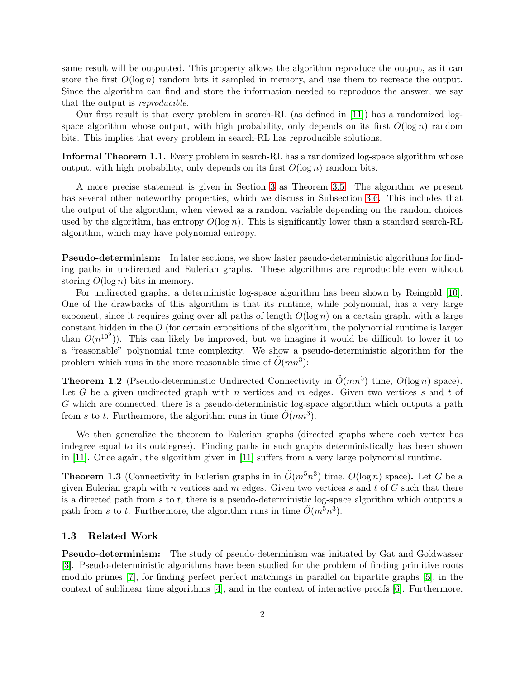same result will be outputted. This property allows the algorithm reproduce the output, as it can store the first  $O(\log n)$  random bits it sampled in memory, and use them to recreate the output. Since the algorithm can find and store the information needed to reproduce the answer, we say that the output is *reproducible*.

Our first result is that every problem in search-RL (as defined in [\[11\]](#page-19-1)) has a randomized logspace algorithm whose output, with high probability, only depends on its first  $O(\log n)$  random bits. This implies that every problem in search-RL has reproducible solutions.

Informal Theorem 1.1. Every problem in search-RL has a randomized log-space algorithm whose output, with high probability, only depends on its first  $O(\log n)$  random bits.

A more precise statement is given in Section [3](#page-5-0) as Theorem [3.5.](#page-7-0) The algorithm we present has several other noteworthy properties, which we discuss in Subsection [3.6.](#page-10-0) This includes that the output of the algorithm, when viewed as a random variable depending on the random choices used by the algorithm, has entropy  $O(\log n)$ . This is significantly lower than a standard search-RL algorithm, which may have polynomial entropy.

Pseudo-determinism: In later sections, we show faster pseudo-deterministic algorithms for finding paths in undirected and Eulerian graphs. These algorithms are reproducible even without storing  $O(\log n)$  bits in memory.

For undirected graphs, a deterministic log-space algorithm has been shown by Reingold [\[10\]](#page-19-2). One of the drawbacks of this algorithm is that its runtime, while polynomial, has a very large exponent, since it requires going over all paths of length  $O(\log n)$  on a certain graph, with a large constant hidden in the O (for certain expositions of the algorithm, the polynomial runtime is larger than  $O(n^{109})$ ). This can likely be improved, but we imagine it would be difficult to lower it to a "reasonable" polynomial time complexity. We show a pseudo-deterministic algorithm for the problem which runs in the more reasonable time of  $\tilde{O}(mn^3)$ :

<span id="page-2-0"></span>**Theorem 1.2** (Pseudo-deterministic Undirected Connectivity in  $\tilde{O}(mn^3)$  time,  $O(log n)$  space). Let G be a given undirected graph with n vertices and  $m$  edges. Given two vertices  $s$  and  $t$  of G which are connected, there is a pseudo-deterministic log-space algorithm which outputs a path from s to t. Furthermore, the algorithm runs in time  $\tilde{O}(mn^3)$ .

We then generalize the theorem to Eulerian graphs (directed graphs where each vertex has indegree equal to its outdegree). Finding paths in such graphs deterministically has been shown in [\[11\]](#page-19-1). Once again, the algorithm given in [\[11\]](#page-19-1) suffers from a very large polynomial runtime.

<span id="page-2-1"></span>**Theorem 1.3** (Connectivity in Eulerian graphs in in  $\tilde{O}(m^5n^3)$  time,  $O(\log n)$  space). Let G be a given Eulerian graph with n vertices and  $m$  edges. Given two vertices  $s$  and  $t$  of  $G$  such that there is a directed path from  $s$  to  $t$ , there is a pseudo-deterministic log-space algorithm which outputs a path from s to t. Furthermore, the algorithm runs in time  $\tilde{O}(m^5n^3)$ .

#### 1.3 Related Work

Pseudo-determinism: The study of pseudo-determinism was initiated by Gat and Goldwasser [\[3\]](#page-18-1). Pseudo-deterministic algorithms have been studied for the problem of finding primitive roots modulo primes [\[7\]](#page-18-2), for finding perfect perfect matchings in parallel on bipartite graphs [\[5\]](#page-18-3), in the context of sublinear time algorithms [\[4\]](#page-18-4), and in the context of interactive proofs [\[6\]](#page-18-5). Furthermore,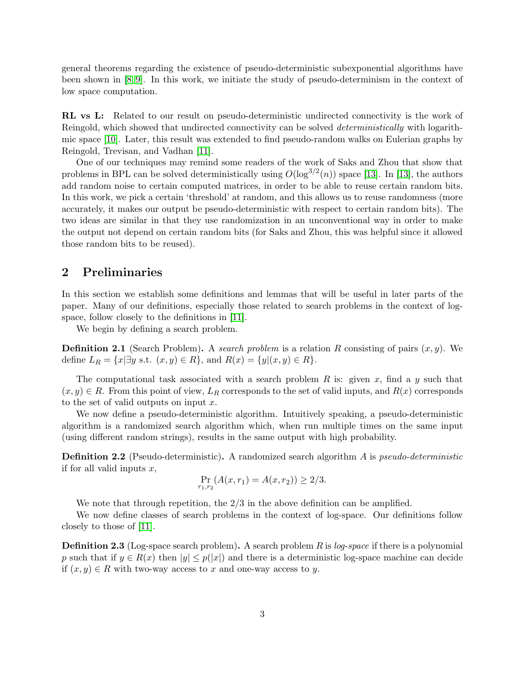general theorems regarding the existence of pseudo-deterministic subexponential algorithms have been shown in [\[8,](#page-18-6) [9\]](#page-18-7). In this work, we initiate the study of pseudo-determinism in the context of low space computation.

RL vs L: Related to our result on pseudo-deterministic undirected connectivity is the work of Reingold, which showed that undirected connectivity can be solved *deterministically* with logarithmic space [\[10\]](#page-19-2). Later, this result was extended to find pseudo-random walks on Eulerian graphs by Reingold, Trevisan, and Vadhan [\[11\]](#page-19-1).

One of our techniques may remind some readers of the work of Saks and Zhou that show that problems in BPL can be solved deterministically using  $O(\log^{3/2}(n))$  space [\[13\]](#page-19-3). In [13], the authors add random noise to certain computed matrices, in order to be able to reuse certain random bits. In this work, we pick a certain 'threshold' at random, and this allows us to reuse randomness (more accurately, it makes our output be pseudo-deterministic with respect to certain random bits). The two ideas are similar in that they use randomization in an unconventional way in order to make the output not depend on certain random bits (for Saks and Zhou, this was helpful since it allowed those random bits to be reused).

## <span id="page-3-0"></span>2 Preliminaries

In this section we establish some definitions and lemmas that will be useful in later parts of the paper. Many of our definitions, especially those related to search problems in the context of logspace, follow closely to the definitions in [\[11\]](#page-19-1).

We begin by defining a search problem.

**Definition 2.1** (Search Problem). A *search problem* is a relation R consisting of pairs  $(x, y)$ . We define  $L_R = \{x | \exists y \text{ s.t. } (x, y) \in R\}$ , and  $R(x) = \{y | (x, y) \in R\}$ .

The computational task associated with a search problem R is: given x, find a y such that  $(x, y) \in R$ . From this point of view,  $L_R$  corresponds to the set of valid inputs, and  $R(x)$  corresponds to the set of valid outputs on input  $x$ .

We now define a pseudo-deterministic algorithm. Intuitively speaking, a pseudo-deterministic algorithm is a randomized search algorithm which, when run multiple times on the same input (using different random strings), results in the same output with high probability.

Definition 2.2 (Pseudo-deterministic). A randomized search algorithm A is *pseudo-deterministic* if for all valid inputs  $x$ ,

$$
\Pr_{r_1,r_2}(A(x,r_1) = A(x,r_2)) \ge 2/3.
$$

We note that through repetition, the  $2/3$  in the above definition can be amplified.

We now define classes of search problems in the context of log-space. Our definitions follow closely to those of [\[11\]](#page-19-1).

Definition 2.3 (Log-space search problem). A search problem R is *log-space* if there is a polynomial p such that if  $y \in R(x)$  then  $|y| \leq p(|x|)$  and there is a deterministic log-space machine can decide if  $(x, y) \in R$  with two-way access to x and one-way access to y.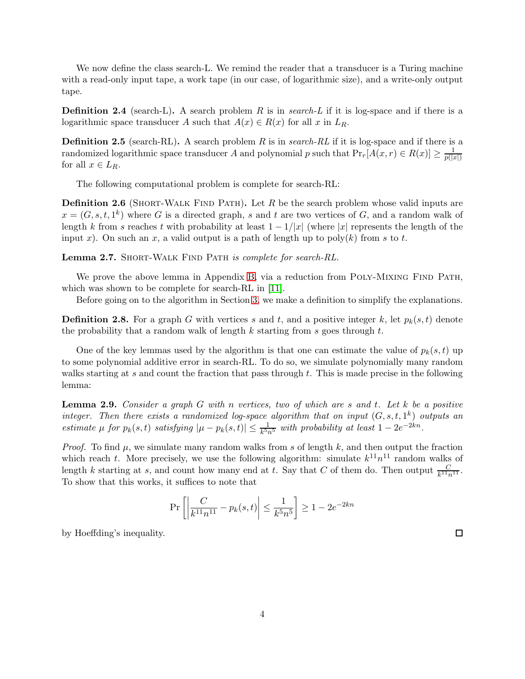We now define the class search-L. We remind the reader that a transducer is a Turing machine with a read-only input tape, a work tape (in our case, of logarithmic size), and a write-only output tape.

**Definition 2.4** (search-L). A search problem R is in *search-L* if it is log-space and if there is a logarithmic space transducer A such that  $A(x) \in R(x)$  for all x in  $L_R$ .

**Definition 2.5** (search-RL). A search problem R is in *search-RL* if it is log-space and if there is a randomized logarithmic space transducer A and polynomial p such that  $Pr_r[A(x,r) \in R(x)] \geq \frac{1}{p(|x|)}$  $p(|x|)$ for all  $x \in L_R$ .

The following computational problem is complete for search-RL:

<span id="page-4-0"></span>**Definition 2.6** (SHORT-WALK FIND PATH). Let R be the search problem whose valid inputs are  $x = (G, s, t, 1<sup>k</sup>)$  where G is a directed graph, s and t are two vertices of G, and a random walk of length k from s reaches t with probability at least  $1 - 1/|x|$  (where |x| represents the length of the input x). On such an x, a valid output is a path of length up to  $poly(k)$  from s to t.

<span id="page-4-1"></span>Lemma 2.7. Short-Walk Find Path *is complete for search-RL.*

We prove the above lemma in Appendix [B,](#page-19-4) via a reduction from POLY-MIXING FIND PATH, which was shown to be complete for search-RL in [\[11\]](#page-19-1).

Before going on to the algorithm in Section [3,](#page-5-0) we make a definition to simplify the explanations.

<span id="page-4-2"></span>**Definition 2.8.** For a graph G with vertices s and t, and a positive integer k, let  $p_k(s,t)$  denote the probability that a random walk of length  $k$  starting from  $s$  goes through  $t$ .

One of the key lemmas used by the algorithm is that one can estimate the value of  $p_k(s,t)$  up to some polynomial additive error in search-RL. To do so, we simulate polynomially many random walks starting at s and count the fraction that pass through t. This is made precise in the following lemma:

<span id="page-4-3"></span>Lemma 2.9. *Consider a graph* G *with* n *vertices, two of which are* s *and* t*. Let* k *be a positive integer.* Then there exists a randomized log-space algorithm that on input  $(G, s, t, 1<sup>k</sup>)$  outputs an *estimate*  $\mu$  *for*  $p_k(s,t)$  *satisfying*  $|\mu - p_k(s,t)| \leq \frac{1}{k^5 n^5}$  *with probability at least*  $1 - 2e^{-2kn}$ *.* 

*Proof.* To find  $\mu$ , we simulate many random walks from s of length k, and then output the fraction which reach t. More precisely, we use the following algorithm: simulate  $k^{11}n^{11}$  random walks of length k starting at s, and count how many end at t. Say that C of them do. Then output  $\frac{C}{k^{11}n^{11}}$ . To show that this works, it suffices to note that

$$
\Pr\left[\left|\frac{C}{k^{11}n^{11}} - p_k(s,t)\right| \le \frac{1}{k^5 n^5}\right] \ge 1 - 2e^{-2kn}
$$

by Hoeffding's inequality.

 $\Box$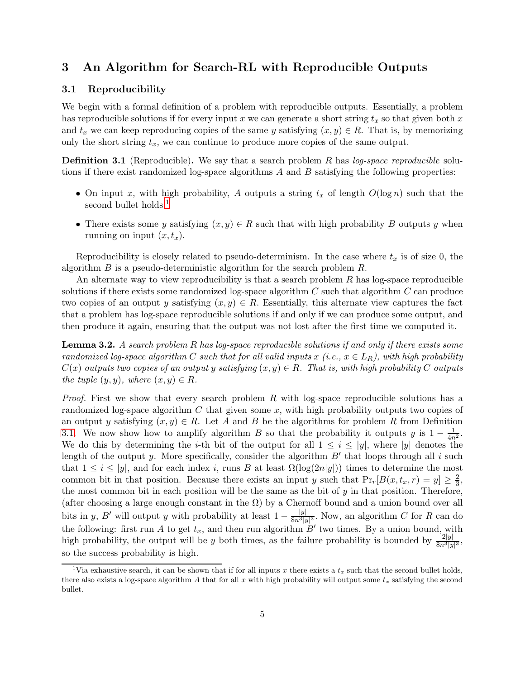## <span id="page-5-0"></span>3 An Algorithm for Search-RL with Reproducible Outputs

### 3.1 Reproducibility

We begin with a formal definition of a problem with reproducible outputs. Essentially, a problem has reproducible solutions if for every input x we can generate a short string  $t_x$  so that given both x and  $t_x$  we can keep reproducing copies of the same y satisfying  $(x, y) \in R$ . That is, by memorizing only the short string  $t_x$ , we can continue to produce more copies of the same output.

<span id="page-5-2"></span>Definition 3.1 (Reproducible). We say that a search problem R has *log-space reproducible* solutions if there exist randomized log-space algorithms  $A$  and  $B$  satisfying the following properties:

- On input x, with high probability, A outputs a string  $t_x$  of length  $O(\log n)$  such that the second bullet holds.<sup>[1](#page-5-1)</sup>
- There exists some y satisfying  $(x, y) \in R$  such that with high probability B outputs y when running on input  $(x, t_x)$ .

Reproducibility is closely related to pseudo-determinism. In the case where  $t_x$  is of size 0, the algorithm  $B$  is a pseudo-deterministic algorithm for the search problem  $R$ .

An alternate way to view reproducibility is that a search problem  $R$  has log-space reproducible solutions if there exists some randomized log-space algorithm  $C$  such that algorithm  $C$  can produce two copies of an output y satisfying  $(x, y) \in R$ . Essentially, this alternate view captures the fact that a problem has log-space reproducible solutions if and only if we can produce some output, and then produce it again, ensuring that the output was not lost after the first time we computed it.

<span id="page-5-3"></span>Lemma 3.2. *A search problem* R *has log-space reproducible solutions if and only if there exists some randomized log-space algorithm* C *such that for all valid inputs* x (*i.e.*,  $x \in L_R$ ), with high probability  $C(x)$  *outputs two copies of an output y satisfying*  $(x, y) \in R$ *. That is, with high probability* C *outputs the tuple*  $(y, y)$ *, where*  $(x, y) \in R$ *.* 

*Proof.* First we show that every search problem R with log-space reproducible solutions has a randomized log-space algorithm  $C$  that given some  $x$ , with high probability outputs two copies of an output y satisfying  $(x, y) \in R$ . Let A and B be the algorithms for problem R from Definition [3.1.](#page-5-2) We now show how to amplify algorithm B so that the probability it outputs y is  $1 - \frac{1}{4n^2}$ . We do this by determining the *i*-th bit of the output for all  $1 \leq i \leq |y|$ , where |y| denotes the length of the output y. More specifically, consider the algorithm  $B'$  that loops through all i such that  $1 \leq i \leq |y|$ , and for each index i, runs B at least  $\Omega(\log(2n|y|))$  times to determine the most common bit in that position. Because there exists an input y such that  $Pr_r[B(x, t_x, r) = y] \geq \frac{2}{3}$  $\frac{2}{3}$ , the most common bit in each position will be the same as the bit of  $y$  in that position. Therefore, (after choosing a large enough constant in the  $\Omega$ ) by a Chernoff bound and a union bound over all bits in y, B' will output y with probability at least  $1 - \frac{|y|}{8n^3|y|^3}$ . Now, an algorithm C for R can do the following: first run A to get  $t_x$ , and then run algorithm  $B'$  two times. By a union bound, with high probability, the output will be y both times, as the failure probability is bounded by  $\frac{2|y|}{8n^3|y|^3}$ , so the success probability is high.

<span id="page-5-1"></span><sup>&</sup>lt;sup>1</sup>Via exhaustive search, it can be shown that if for all inputs x there exists a  $t_x$  such that the second bullet holds, there also exists a log-space algorithm A that for all x with high probability will output some  $t_x$  satisfying the second bullet.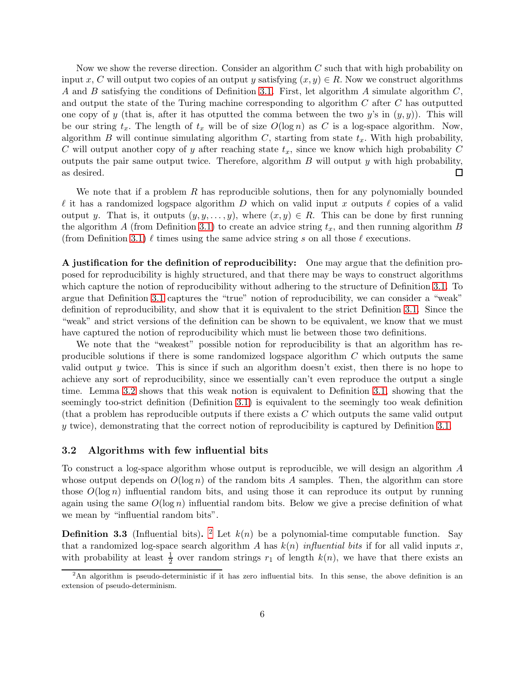Now we show the reverse direction. Consider an algorithm C such that with high probability on input x, C will output two copies of an output y satisfying  $(x, y) \in R$ . Now we construct algorithms A and B satisfying the conditions of Definition [3.1.](#page-5-2) First, let algorithm A simulate algorithm  $C$ , and output the state of the Turing machine corresponding to algorithm  $C$  after  $C$  has outputted one copy of y (that is, after it has otputted the comma between the two y's in  $(y, y)$ ). This will be our string  $t_x$ . The length of  $t_x$  will be of size  $O(\log n)$  as C is a log-space algorithm. Now, algorithm B will continue simulating algorithm  $C$ , starting from state  $t_x$ . With high probability, C will output another copy of y after reaching state  $t<sub>x</sub>$ , since we know which high probability C outputs the pair same output twice. Therefore, algorithm  $B$  will output  $y$  with high probability, as desired. □

We note that if a problem  $R$  has reproducible solutions, then for any polynomially bounded  $\ell$  it has a randomized logspace algorithm D which on valid input x outputs  $\ell$  copies of a valid output y. That is, it outputs  $(y, y, \ldots, y)$ , where  $(x, y) \in R$ . This can be done by first running the algorithm A (from Definition [3.1\)](#page-5-2) to create an advice string  $t_x$ , and then running algorithm B (from Definition [3.1\)](#page-5-2)  $\ell$  times using the same advice string s on all those  $\ell$  executions.

A justification for the definition of reproducibility: One may argue that the definition proposed for reproducibility is highly structured, and that there may be ways to construct algorithms which capture the notion of reproducibility without adhering to the structure of Definition [3.1.](#page-5-2) To argue that Definition [3.1](#page-5-2) captures the "true" notion of reproducibility, we can consider a "weak" definition of reproducibility, and show that it is equivalent to the strict Definition [3.1.](#page-5-2) Since the "weak" and strict versions of the definition can be shown to be equivalent, we know that we must have captured the notion of reproducibility which must lie between those two definitions.

We note that the "weakest" possible notion for reproducibility is that an algorithm has reproducible solutions if there is some randomized logspace algorithm  $C$  which outputs the same valid output  $y$  twice. This is since if such an algorithm doesn't exist, then there is no hope to achieve any sort of reproducibility, since we essentially can't even reproduce the output a single time. Lemma [3.2](#page-5-3) shows that this weak notion is equivalent to Definition [3.1,](#page-5-2) showing that the seemingly too-strict definition (Definition [3.1\)](#page-5-2) is equivalent to the seemingly too weak definition (that a problem has reproducible outputs if there exists a C which outputs the same valid output y twice), demonstrating that the correct notion of reproducibility is captured by Definition [3.1.](#page-5-2)

#### 3.2 Algorithms with few influential bits

To construct a log-space algorithm whose output is reproducible, we will design an algorithm A whose output depends on  $O(\log n)$  of the random bits A samples. Then, the algorithm can store those  $O(\log n)$  influential random bits, and using those it can reproduce its output by running again using the same  $O(\log n)$  influential random bits. Below we give a precise definition of what we mean by "influential random bits".

<span id="page-6-1"></span>**Definition 3.3** (Influential bits). <sup>[2](#page-6-0)</sup> Let  $k(n)$  be a polynomial-time computable function. Say that a randomized log-space search algorithm A has  $k(n)$  *influential bits* if for all valid inputs x, with probability at least  $\frac{1}{2}$  over random strings  $r_1$  of length  $k(n)$ , we have that there exists an

<span id="page-6-0"></span> $2\text{An algorithm is pseudo-deterministic if it has zero influential bits. In this sense, the above definition is an$ extension of pseudo-determinism.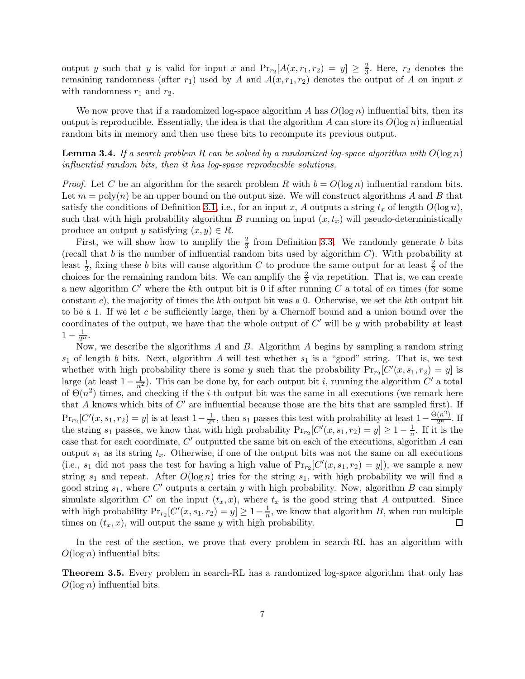output y such that y is valid for input x and  $Pr_{r_2}[A(x, r_1, r_2) = y] \ge \frac{2}{3}$ . Here,  $r_2$  denotes the remaining randomness (after  $r_1$ ) used by A and  $A(x, r_1, r_2)$  denotes the output of A on input x with randomness  $r_1$  and  $r_2$ .

We now prove that if a randomized log-space algorithm A has  $O(\log n)$  influential bits, then its output is reproducible. Essentially, the idea is that the algorithm A can store its  $O(\log n)$  influential random bits in memory and then use these bits to recompute its previous output.

<span id="page-7-1"></span>Lemma 3.4. *If a search problem* R *can be solved by a randomized log-space algorithm with* O(log n) *influential random bits, then it has log-space reproducible solutions.*

*Proof.* Let C be an algorithm for the search problem R with  $b = O(\log n)$  influential random bits. Let  $m = \text{poly}(n)$  be an upper bound on the output size. We will construct algorithms A and B that satisfy the conditions of Definition [3.1,](#page-5-2) i.e., for an input x, A outputs a string  $t_x$  of length  $O(\log n)$ , such that with high probability algorithm B running on input  $(x, t_x)$  will pseudo-deterministically produce an output y satisfying  $(x, y) \in R$ .

First, we will show how to amplify the  $\frac{2}{3}$  from Definition [3.3.](#page-6-1) We randomly generate b bits (recall that  $b$  is the number of influential random bits used by algorithm  $C$ ). With probability at least  $\frac{1}{2}$ , fixing these b bits will cause algorithm C to produce the same output for at least  $\frac{2}{3}$  of the choices for the remaining random bits. We can amplify the  $\frac{2}{3}$  via repetition. That is, we can create a new algorithm  $C'$  where the kth output bit is 0 if after running  $C$  a total of cn times (for some constant c), the majority of times the kth output bit was a 0. Otherwise, we set the kth output bit to be a 1. If we let c be sufficiently large, then by a Chernoff bound and a union bound over the coordinates of the output, we have that the whole output of  $C'$  will be y with probability at least  $1-\frac{1}{2^n}.$ 

Now, we describe the algorithms  $A$  and  $B$ . Algorithm  $A$  begins by sampling a random string  $s_1$  of length b bits. Next, algorithm A will test whether  $s_1$  is a "good" string. That is, we test whether with high probability there is some y such that the probability  $Pr_{r_2}[C'(x, s_1, r_2) = y]$  is large (at least  $1-\frac{1}{n^2}$ ). This can be done by, for each output bit *i*, running the algorithm C' a total of  $\Theta(n^2)$  times, and checking if the *i*-th output bit was the same in all executions (we remark here that  $A$  knows which bits of  $C'$  are influential because those are the bits that are sampled first). If  $Pr_{r_2}[C'(x, s_1, r_2) = y]$  is at least  $1 - \frac{1}{2^n}$ , then  $s_1$  passes this test with probability at least  $1 - \frac{\Theta(n^2)}{2^n}$ . If the string  $s_1$  passes, we know that with high probability  $Pr_{r_2}[C'(x, s_1, r_2) = y] \ge 1 - \frac{1}{n}$ . If it is the case that for each coordinate,  $C'$  outputted the same bit on each of the executions, algorithm  $A$  can output  $s_1$  as its string  $t_x$ . Otherwise, if one of the output bits was not the same on all executions (i.e.,  $s_1$  did not pass the test for having a high value of  $Pr_{r_2}[C'(x, s_1, r_2) = y]$ ), we sample a new string  $s_1$  and repeat. After  $O(\log n)$  tries for the string  $s_1$ , with high probability we will find a good string  $s_1$ , where C' outputs a certain y with high probability. Now, algorithm B can simply simulate algorithm  $C'$  on the input  $(t_x, x)$ , where  $t_x$  is the good string that A outputted. Since with high probability  $Pr_{r_2}[C'(x, s_1, r_2) = y] \ge 1 - \frac{1}{n}$  $\frac{1}{n}$ , we know that algorithm B, when run multiple times on  $(t_x, x)$ , will output the same y with high probability.  $\Box$ 

In the rest of the section, we prove that every problem in search-RL has an algorithm with  $O(\log n)$  influential bits:

<span id="page-7-0"></span>Theorem 3.5. Every problem in search-RL has a randomized log-space algorithm that only has  $O(\log n)$  influential bits.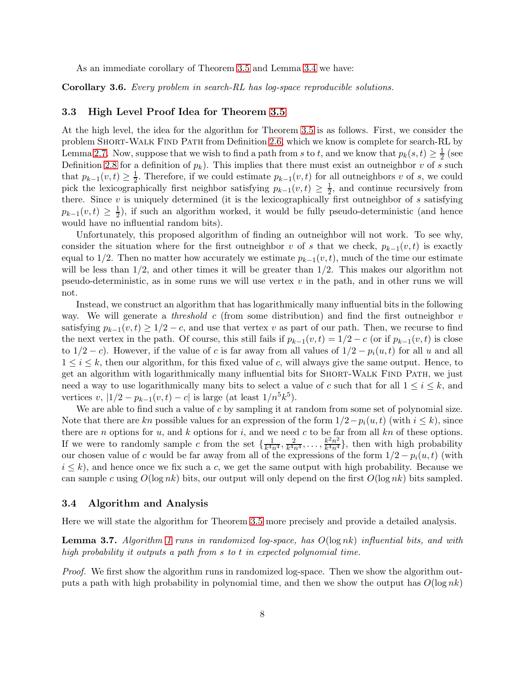As an immediate corollary of Theorem [3.5](#page-7-0) and Lemma [3.4](#page-7-1) we have:

Corollary 3.6. *Every problem in search-RL has log-space reproducible solutions.*

### 3.3 High Level Proof Idea for Theorem [3.5](#page-7-0)

At the high level, the idea for the algorithm for Theorem [3.5](#page-7-0) is as follows. First, we consider the problem SHORT-WALK FIND PATH from Definition [2.6,](#page-4-0) which we know is complete for search-RL by Lemma [2.7.](#page-4-1) Now, suppose that we wish to find a path from s to t, and we know that  $p_k(s,t) \geq \frac{1}{2}$  $rac{1}{2}$  (see Definition [2.8](#page-4-2) for a definition of  $p_k$ ). This implies that there must exist an outneighbor v of s such that  $p_{k-1}(v,t) \geq \frac{1}{2}$  $\frac{1}{2}$ . Therefore, if we could estimate  $p_{k-1}(v,t)$  for all outneighbors v of s, we could pick the lexicographically first neighbor satisfying  $p_{k-1}(v,t) \geq \frac{1}{2}$  $\frac{1}{2}$ , and continue recursively from there. Since  $v$  is uniquely determined (it is the lexicographically first outneighbor of  $s$  satisfying  $p_{k-1}(v,t) \geq \frac{1}{2}$ , if such an algorithm worked, it would be fully pseudo-deterministic (and hence would have no influential random bits).

Unfortunately, this proposed algorithm of finding an outneighbor will not work. To see why, consider the situation where for the first outneighbor v of s that we check,  $p_{k-1}(v, t)$  is exactly equal to 1/2. Then no matter how accurately we estimate  $p_{k-1}(v, t)$ , much of the time our estimate will be less than  $1/2$ , and other times it will be greater than  $1/2$ . This makes our algorithm not pseudo-deterministic, as in some runs we will use vertex  $v$  in the path, and in other runs we will not.

Instead, we construct an algorithm that has logarithmically many influential bits in the following way. We will generate a *threshold* c (from some distribution) and find the first outneighbor v satisfying  $p_{k-1}(v,t) \geq 1/2 - c$ , and use that vertex v as part of our path. Then, we recurse to find the next vertex in the path. Of course, this still fails if  $p_{k-1}(v,t) = 1/2 - c$  (or if  $p_{k-1}(v,t)$  is close to  $1/2 - c$ ). However, if the value of c is far away from all values of  $1/2 - p_i(u, t)$  for all u and all  $1 \leq i \leq k$ , then our algorithm, for this fixed value of c, will always give the same output. Hence, to get an algorithm with logarithmically many influential bits for Short-Walk Find Path, we just need a way to use logarithmically many bits to select a value of c such that for all  $1 \leq i \leq k$ , and vertices v,  $|1/2 - p_{k-1}(v,t) - c|$  is large (at least  $1/n^5k^5$ ).

We are able to find such a value of  $c$  by sampling it at random from some set of polynomial size. Note that there are kn possible values for an expression of the form  $1/2-p_i(u,t)$  (with  $i \leq k$ ), since there are n options for  $u$ , and  $k$  options for  $i$ , and we need  $c$  to be far from all  $kn$  of these options. If we were to randomly sample c from the set  $\{\frac{1}{k^{4}i}\}$  $\frac{1}{k^4 n^4}, \frac{2}{k^4 n}$  $\frac{2}{k^4 n^4}, \ldots, \frac{k^2 n^2}{k^4 n^4}$  $\frac{k^2n^2}{k^4n^4}$ , then with high probability our chosen value of c would be far away from all of the expressions of the form  $1/2 - p_i(u, t)$  (with  $i \leq k$ , and hence once we fix such a c, we get the same output with high probability. Because we can sample c using  $O(\log nk)$  bits, our output will only depend on the first  $O(\log nk)$  bits sampled.

### 3.4 Algorithm and Analysis

Here we will state the algorithm for Theorem [3.5](#page-7-0) more precisely and provide a detailed analysis.

<span id="page-8-0"></span>Lemma 3.7. *Algorithm [1](#page-9-0) runs in randomized log-space, has* O(log nk) *influential bits, and with high probability it outputs a path from* s *to* t *in expected polynomial time.*

*Proof.* We first show the algorithm runs in randomized log-space. Then we show the algorithm outputs a path with high probability in polynomial time, and then we show the output has  $O(\log nk)$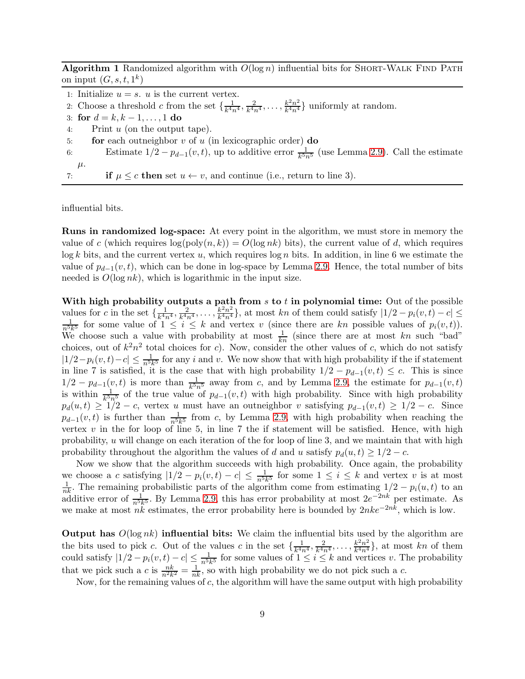<span id="page-9-0"></span>Algorithm 1 Randomized algorithm with  $O(\log n)$  influential bits for SHORT-WALK FIND PATH on input  $(G, s, t, 1^k)$ 

|                               | 1: Initialize $u = s$ . u is the current vertex.                                                                                   |
|-------------------------------|------------------------------------------------------------------------------------------------------------------------------------|
|                               | 2. Choose a threshold c from the set $\{\frac{1}{k^4n^4}, \frac{2}{k^4n^4}, \ldots, \frac{k^2n^2}{k^4n^4}\}\$ uniformly at random. |
| 3: for $d = k, k - 1, , 1$ do |                                                                                                                                    |
| 4:                            | Print $u$ (on the output tape).                                                                                                    |
| 5:                            | for each outneighbor $v$ of $u$ (in lexicographic order) do                                                                        |
| 6:                            | Estimate $1/2 - p_{d-1}(v, t)$ , up to additive error $\frac{1}{k^{5n}}$ (use Lemma 2.9). Call the estimate                        |
| $\mu$ .                       |                                                                                                                                    |
| 7:                            | if $\mu \leq c$ then set $u \leftarrow v$ , and continue (i.e., return to line 3).                                                 |

influential bits.

Runs in randomized log-space: At every point in the algorithm, we must store in memory the value of c (which requires  $log(poly(n, k)) = O(log nk)$  bits), the current value of d, which requires  $\log k$  bits, and the current vertex u, which requires  $\log n$  bits. In addition, in line 6 we estimate the value of  $p_{d-1}(v, t)$ , which can be done in log-space by Lemma [2.9.](#page-4-3) Hence, the total number of bits needed is  $O(\log nk)$ , which is logarithmic in the input size.

With high probability outputs a path from  $s$  to  $t$  in polynomial time: Out of the possible values for c in the set  $\{\frac{1}{k^4}$  $\frac{1}{k^4 n^4}, \frac{2}{k^4 n}$  $\frac{1}{k^4 n^4}, \ldots, \frac{k^2 n^2}{k^4 n^4}$ values for c in the set  $\{\frac{1}{k^4n^4}, \frac{2}{k^4n^4}, \ldots, \frac{k^2n^2}{k^4n^4}\}$ , at most kn of them could satisfy  $|1/2 - p_i(v, t) - c| \leq \frac{1}{n^5k^5}$  for some value of  $1 \leq i \leq k$  and vertex v (since there are kn possible values of We choose such a value with probability at most  $\frac{1}{kn}$  (since there are at most kn such "bad" choices, out of  $k^2n^2$  total choices for c). Now, consider the other values of c, which do not satisfy  $|1/2-p_i(v,t)-c| \leq \frac{1}{n^5k^5}$  for any i and v. We now show that with high probability if the if statement in line 7 is satisfied, it is the case that with high probability  $1/2 - p_{d-1}(v,t) \leq c$ . This is since  $1/2 - p_{d-1}(v, t)$  is more than  $\frac{1}{k^5 n^5}$  away from c, and by Lemma [2.9,](#page-4-3) the estimate for  $p_{d-1}(v, t)$ is within  $\frac{1}{k^5 n^5}$  of the true value of  $p_{d-1}(v,t)$  with high probability. Since with high probability  $p_d(u, t) \geq 1/2 - c$ , vertex u must have an outneighbor v satisfying  $p_{d-1}(v, t) \geq 1/2 - c$ . Since  $p_{d-1}(v,t)$  is further than  $\frac{1}{n^5k^5}$  from c, by Lemma [2.9,](#page-4-3) with high probability when reaching the vertex  $v$  in the for loop of line 5, in line 7 the if statement will be satisfied. Hence, with high probability,  $u$  will change on each iteration of the for loop of line 3, and we maintain that with high probability throughout the algorithm the values of d and u satisfy  $p_d(u, t) \geq 1/2 - c$ .

Now we show that the algorithm succeeds with high probability. Once again, the probability we choose a c satisfying  $|1/2 - p_i(v,t) - c| \leq \frac{1}{n^5k^5}$  for some  $1 \leq i \leq k$  and vertex v is at most  $\frac{1}{nk}$ . The remaining probabilistic parts of the algorithm come from estimating  $1/2 - p_i(u, t)$  to an additive error of  $\frac{1}{n^5k^5}$ . By Lemma [2.9,](#page-4-3) this has error probability at most  $2e^{-2nk}$  per estimate. As we make at most  $n\ddot{k}$  estimates, the error probability here is bounded by  $2nke^{-2nk}$ , which is low.

**Output has**  $O(\log nk)$  influential bits: We claim the influential bits used by the algorithm are the bits used to pick c. Out of the values c in the set  $\{\frac{1}{k^{4}r^4}\}$  $\frac{1}{k^4 n^4}, \frac{2}{k^4 n}$  $\frac{2}{k^4 n^4}, \ldots, \frac{k^2 n^2}{k^4 n^4}$  $\frac{k^2n^2}{k^4n^4}$ , at most kn of them could satisfy  $|1/2 - p_i(v,t) - c| \leq \frac{1}{n^5k^5}$  for some values of  $1 \leq i \leq k$  and vertices v. The probability that we pick such a c is  $\frac{nk}{n^2k^2} = \frac{1}{nk}$ , so with high probability we do not pick such a c.

Now, for the remaining values of  $c$ , the algorithm will have the same output with high probability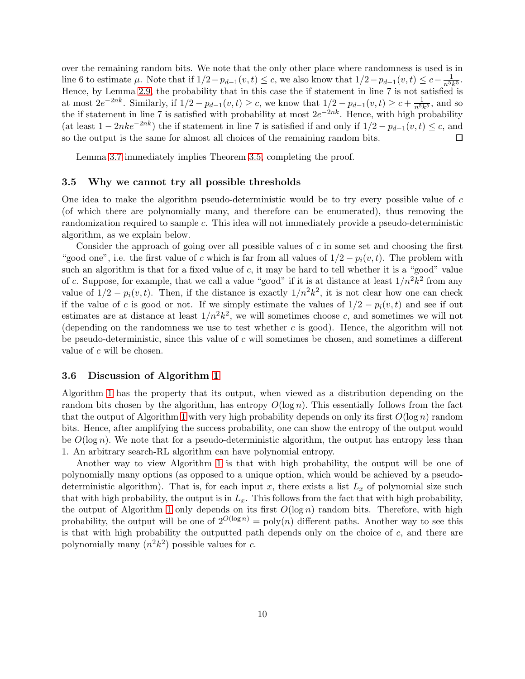over the remaining random bits. We note that the only other place where randomness is used is in line 6 to estimate  $\mu$ . Note that if  $1/2 - p_{d-1}(v, t) \le c$ , we also know that  $1/2 - p_{d-1}(v, t) \le c - \frac{1}{n^5 k^5}$ . Hence, by Lemma [2.9,](#page-4-3) the probability that in this case the if statement in line 7 is not satisfied is at most  $2e^{-2nk}$ . Similarly, if  $1/2 - p_{d-1}(v,t) \ge c$ , we know that  $1/2 - p_{d-1}(v,t) \ge c + \frac{1}{n^5k^5}$ , and so the if statement in line 7 is satisfied with probability at most  $2e^{-2nk}$ . Hence, with high probability (at least  $1 - 2nke^{-2nk}$ ) the if statement in line 7 is satisfied if and only if  $1/2 - p_{d-1}(v, t) \leq c$ , and so the output is the same for almost all choices of the remaining random bits.  $\Box$ 

Lemma [3.7](#page-8-0) immediately implies Theorem [3.5,](#page-7-0) completing the proof.

#### 3.5 Why we cannot try all possible thresholds

One idea to make the algorithm pseudo-deterministic would be to try every possible value of c (of which there are polynomially many, and therefore can be enumerated), thus removing the randomization required to sample c. This idea will not immediately provide a pseudo-deterministic algorithm, as we explain below.

Consider the approach of going over all possible values of c in some set and choosing the first "good one", i.e. the first value of c which is far from all values of  $1/2 - p_i(v, t)$ . The problem with such an algorithm is that for a fixed value of  $c$ , it may be hard to tell whether it is a "good" value of c. Suppose, for example, that we call a value "good" if it is at distance at least  $1/n^2k^2$  from any value of  $1/2 - p_i(v, t)$ . Then, if the distance is exactly  $1/n^2k^2$ , it is not clear how one can check if the value of c is good or not. If we simply estimate the values of  $1/2 - p_i(v, t)$  and see if out estimates are at distance at least  $1/n^2k^2$ , we will sometimes choose c, and sometimes we will not (depending on the randomness we use to test whether c is good). Hence, the algorithm will not be pseudo-deterministic, since this value of  $c$  will sometimes be chosen, and sometimes a different value of c will be chosen.

#### <span id="page-10-0"></span>3.6 Discussion of Algorithm [1](#page-9-0)

Algorithm [1](#page-9-0) has the property that its output, when viewed as a distribution depending on the random bits chosen by the algorithm, has entropy  $O(\log n)$ . This essentially follows from the fact that the output of Algorithm [1](#page-9-0) with very high probability depends on only its first  $O(\log n)$  random bits. Hence, after amplifying the success probability, one can show the entropy of the output would be  $O(\log n)$ . We note that for a pseudo-deterministic algorithm, the output has entropy less than 1. An arbitrary search-RL algorithm can have polynomial entropy.

Another way to view Algorithm [1](#page-9-0) is that with high probability, the output will be one of polynomially many options (as opposed to a unique option, which would be achieved by a pseudodeterministic algorithm). That is, for each input x, there exists a list  $L_x$  of polynomial size such that with high probability, the output is in  $L_x$ . This follows from the fact that with high probability, the output of Algorithm [1](#page-9-0) only depends on its first  $O(\log n)$  random bits. Therefore, with high probability, the output will be one of  $2^{O(\log n)} = \text{poly}(n)$  different paths. Another way to see this is that with high probability the outputted path depends only on the choice of  $c$ , and there are polynomially many  $(n^2k^2)$  possible values for c.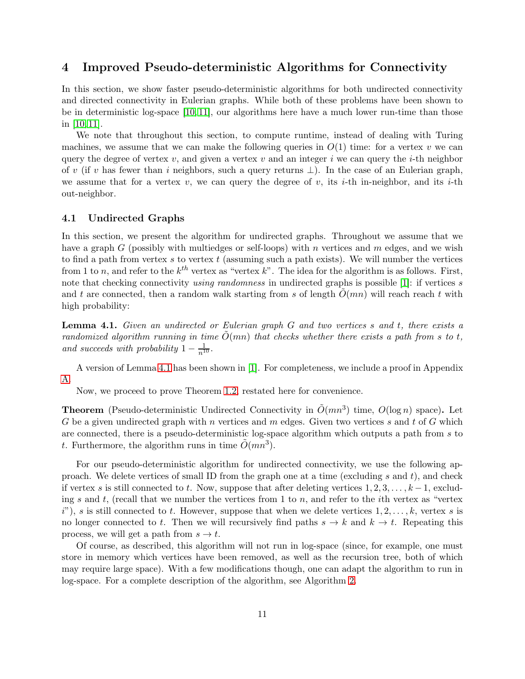## 4 Improved Pseudo-deterministic Algorithms for Connectivity

In this section, we show faster pseudo-deterministic algorithms for both undirected connectivity and directed connectivity in Eulerian graphs. While both of these problems have been shown to be in deterministic log-space [\[10,](#page-19-2) [11\]](#page-19-1), our algorithms here have a much lower run-time than those in [\[10,](#page-19-2) [11\]](#page-19-1).

We note that throughout this section, to compute runtime, instead of dealing with Turing machines, we assume that we can make the following queries in  $O(1)$  time: for a vertex v we can query the degree of vertex v, and given a vertex v and an integer i we can query the i-th neighbor of v (if v has fewer than i neighbors, such a query returns  $\perp$ ). In the case of an Eulerian graph, we assume that for a vertex v, we can query the degree of v, its i-th in-neighbor, and its i-th out-neighbor.

#### <span id="page-11-1"></span>4.1 Undirected Graphs

In this section, we present the algorithm for undirected graphs. Throughout we assume that we have a graph G (possibly with multiedges or self-loops) with n vertices and m edges, and we wish to find a path from vertex s to vertex  $t$  (assuming such a path exists). We will number the vertices from 1 to n, and refer to the  $k^{th}$  vertex as "vertex k". The idea for the algorithm is as follows. First, note that checking connectivity *using randomness* in undirected graphs is possible [\[1\]](#page-18-8): if vertices s and t are connected, then a random walk starting from s of length  $O(mn)$  will reach reach t with high probability:

<span id="page-11-0"></span>Lemma 4.1. *Given an undirected or Eulerian graph* G *and two vertices* s *and* t*, there exists a randomized algorithm running in time*  $O(mn)$  *that checks whether there exists a path from s to t, and succeeds with probability*  $1 - \frac{1}{n^{10}}$ .

A version of Lemma [4.1](#page-11-0) has been shown in [\[1\]](#page-18-8). For completeness, we include a proof in Appendix [A.](#page-19-5)

Now, we proceed to prove Theorem [1.2,](#page-2-0) restated here for convenience.

**Theorem** (Pseudo-deterministic Undirected Connectivity in  $\tilde{O}(mn^3)$  time,  $O(log n)$  space). Let G be a given undirected graph with n vertices and m edges. Given two vertices s and t of G which are connected, there is a pseudo-deterministic log-space algorithm which outputs a path from s to t. Furthermore, the algorithm runs in time  $\tilde{O}(mn^3)$ .

For our pseudo-deterministic algorithm for undirected connectivity, we use the following approach. We delete vertices of small ID from the graph one at a time (excluding s and  $t$ ), and check if vertex s is still connected to t. Now, suppose that after deleting vertices  $1, 2, 3, \ldots, k-1$ , excluding s and t, (recall that we number the vertices from 1 to n, and refer to the ith vertex as "vertex"  $i$ "), s is still connected to t. However, suppose that when we delete vertices  $1, 2, \ldots, k$ , vertex s is no longer connected to t. Then we will recursively find paths  $s \to k$  and  $k \to t$ . Repeating this process, we will get a path from  $s \to t$ .

Of course, as described, this algorithm will not run in log-space (since, for example, one must store in memory which vertices have been removed, as well as the recursion tree, both of which may require large space). With a few modifications though, one can adapt the algorithm to run in log-space. For a complete description of the algorithm, see Algorithm [2.](#page-12-0)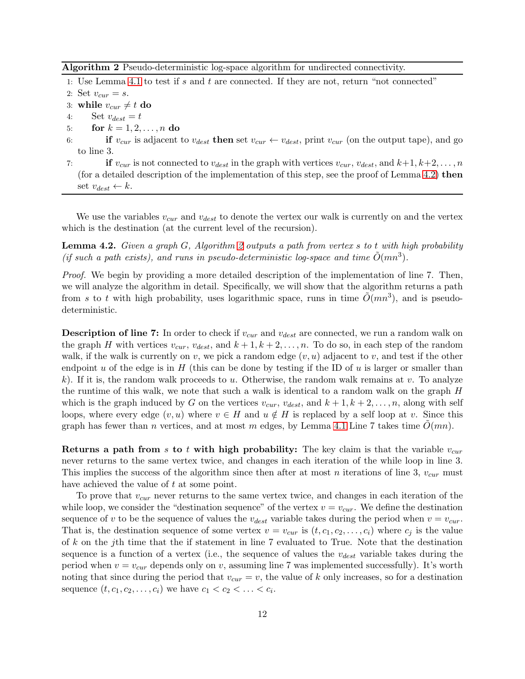<span id="page-12-0"></span>Algorithm 2 Pseudo-deterministic log-space algorithm for undirected connectivity.

1: Use Lemma [4.1](#page-11-0) to test if s and t are connected. If they are not, return "not connected"

2: Set  $v_{cur} = s$ .

- 3: while  $v_{cur} \neq t$  do
- 4: Set  $v_{dest} = t$
- 5: **for**  $k = 1, 2, ..., n$  do
- 6: if  $v_{cur}$  is adjacent to  $v_{dest}$  then set  $v_{cur} \leftarrow v_{dest}$ , print  $v_{cur}$  (on the output tape), and go to line 3.
- 7: **if**  $v_{cur}$  is not connected to  $v_{dest}$  in the graph with vertices  $v_{cur}$ ,  $v_{dest}$ , and  $k+1, k+2, \ldots, n$ (for a detailed description of the implementation of this step, see the proof of Lemma [4.2\)](#page-12-1) then set  $v_{dest} \leftarrow k$ .

We use the variables  $v_{cur}$  and  $v_{dest}$  to denote the vertex our walk is currently on and the vertex which is the destination (at the current level of the recursion).

<span id="page-12-1"></span>Lemma 4.2. *Given a graph* G*, Algorithm [2](#page-12-0) outputs a path from vertex* s *to* t *with high probability* (if such a path exists), and runs in pseudo-deterministic log-space and time  $\tilde{O}(mn^3)$ .

*Proof.* We begin by providing a more detailed description of the implementation of line 7. Then, we will analyze the algorithm in detail. Specifically, we will show that the algorithm returns a path from s to t with high probability, uses logarithmic space, runs in time  $\tilde{O}(mn^3)$ , and is pseudodeterministic.

**Description of line 7:** In order to check if  $v_{cur}$  and  $v_{dest}$  are connected, we run a random walk on the graph H with vertices  $v_{cur}$ ,  $v_{dest}$ , and  $k+1, k+2, \ldots, n$ . To do so, in each step of the random walk, if the walk is currently on v, we pick a random edge  $(v, u)$  adjacent to v, and test if the other endpoint u of the edge is in  $H$  (this can be done by testing if the ID of u is larger or smaller than k). If it is, the random walk proceeds to u. Otherwise, the random walk remains at v. To analyze the runtime of this walk, we note that such a walk is identical to a random walk on the graph H which is the graph induced by G on the vertices  $v_{cur}$ ,  $v_{dest}$ , and  $k + 1, k + 2, \ldots, n$ , along with self loops, where every edge  $(v, u)$  where  $v \in H$  and  $u \notin H$  is replaced by a self loop at v. Since this graph has fewer than n vertices, and at most m edges, by Lemma [4.1](#page-11-0) Line 7 takes time  $O(mn)$ .

**Returns a path from s to t with high probability:** The key claim is that the variable  $v_{cur}$ never returns to the same vertex twice, and changes in each iteration of the while loop in line 3. This implies the success of the algorithm since then after at most n iterations of line 3,  $v_{cur}$  must have achieved the value of t at some point.

To prove that  $v_{cur}$  never returns to the same vertex twice, and changes in each iteration of the while loop, we consider the "destination sequence" of the vertex  $v = v_{cur}$ . We define the destination sequence of v to be the sequence of values the  $v_{dest}$  variable takes during the period when  $v = v_{cur}$ . That is, the destination sequence of some vertex  $v = v_{cur}$  is  $(t, c_1, c_2, \ldots, c_i)$  where  $c_j$  is the value of  $k$  on the j<sup>th</sup> time that the if statement in line  $7$  evaluated to True. Note that the destination sequence is a function of a vertex (i.e., the sequence of values the  $v_{dest}$  variable takes during the period when  $v = v_{cur}$  depends only on v, assuming line 7 was implemented successfully). It's worth noting that since during the period that  $v_{cur} = v$ , the value of k only increases, so for a destination sequence  $(t, c_1, c_2, \ldots, c_i)$  we have  $c_1 < c_2 < \ldots < c_i$ .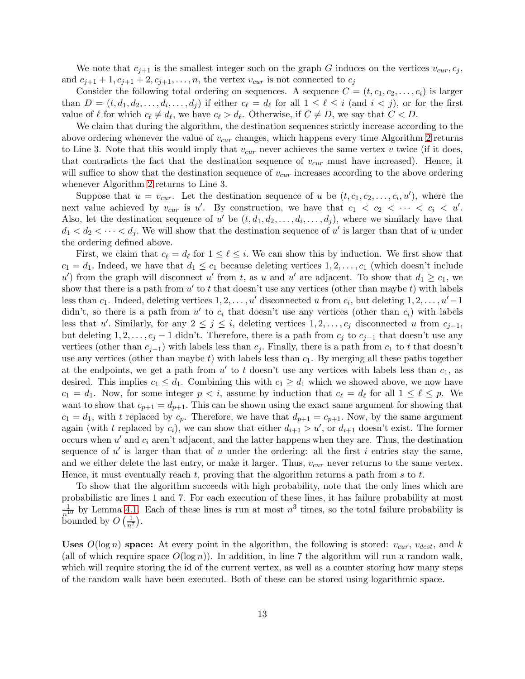We note that  $c_{j+1}$  is the smallest integer such on the graph G induces on the vertices  $v_{cur}, c_j$ , and  $c_{j+1}$  + 1,  $c_{j+1}$  + 2,  $c_{j+1}, \ldots, n$ , the vertex  $v_{cur}$  is not connected to  $c_j$ 

Consider the following total ordering on sequences. A sequence  $C = (t, c_1, c_2, \ldots, c_i)$  is larger than  $D = (t, d_1, d_2, \ldots, d_i, \ldots, d_j)$  if either  $c_\ell = d_\ell$  for all  $1 \leq \ell \leq i$  (and  $i < j$ ), or for the first value of  $\ell$  for which  $c_{\ell} \neq d_{\ell}$ , we have  $c_{\ell} > d_{\ell}$ . Otherwise, if  $C \neq D$ , we say that  $C < D$ .

We claim that during the algorithm, the destination sequences strictly increase according to the above ordering whenever the value of  $v_{cur}$  changes, which happens every time Algorithm [2](#page-12-0) returns to Line 3. Note that this would imply that  $v_{cur}$  never achieves the same vertex v twice (if it does, that contradicts the fact that the destination sequence of  $v_{cur}$  must have increased). Hence, it will suffice to show that the destination sequence of  $v_{cur}$  increases according to the above ordering whenever Algorithm [2](#page-12-0) returns to Line 3.

Suppose that  $u = v_{cur}$ . Let the destination sequence of u be  $(t, c_1, c_2, \ldots, c_i, u')$ , where the next value achieved by  $v_{\text{cur}}$  is u'. By construction, we have that  $c_1 < c_2 < \cdots < c_i < u'$ . Also, let the destination sequence of u' be  $(t, d_1, d_2, \ldots, d_i, \ldots, d_j)$ , where we similarly have that  $d_1 < d_2 < \cdots < d_j$ . We will show that the destination sequence of u' is larger than that of u under the ordering defined above.

First, we claim that  $c_{\ell} = d_{\ell}$  for  $1 \leq \ell \leq i$ . We can show this by induction. We first show that  $c_1 = d_1$ . Indeed, we have that  $d_1 \leq c_1$  because deleting vertices  $1, 2, \ldots, c_1$  (which doesn't include u') from the graph will disconnect u' from t, as u and u' are adjacent. To show that  $d_1 \geq c_1$ , we show that there is a path from  $u'$  to t that doesn't use any vertices (other than maybe t) with labels less than  $c_1$ . Indeed, deleting vertices  $1, 2, \ldots, u'$  disconnected u from  $c_i$ , but deleting  $1, 2, \ldots, u'-1$ didn't, so there is a path from  $u'$  to  $c_i$  that doesn't use any vertices (other than  $c_i$ ) with labels less that u'. Similarly, for any  $2 \leq j \leq i$ , deleting vertices  $1, 2, \ldots, c_j$  disconnected u from  $c_{j-1}$ , but deleting  $1, 2, \ldots, c_j - 1$  didn't. Therefore, there is a path from  $c_j$  to  $c_{j-1}$  that doesn't use any vertices (other than  $c_{j-1}$ ) with labels less than  $c_j$ . Finally, there is a path from  $c_1$  to t that doesn't use any vertices (other than maybe  $t$ ) with labels less than  $c_1$ . By merging all these paths together at the endpoints, we get a path from  $u'$  to t doesn't use any vertices with labels less than  $c_1$ , as desired. This implies  $c_1 \leq d_1$ . Combining this with  $c_1 \geq d_1$  which we showed above, we now have  $c_1 = d_1$ . Now, for some integer  $p < i$ , assume by induction that  $c_{\ell} = d_{\ell}$  for all  $1 \leq \ell \leq p$ . We want to show that  $c_{p+1} = d_{p+1}$ . This can be shown using the exact same argument for showing that  $c_1 = d_1$ , with t replaced by  $c_p$ . Therefore, we have that  $d_{p+1} = c_{p+1}$ . Now, by the same argument again (with t replaced by  $c_i$ ), we can show that either  $d_{i+1} > u'$ , or  $d_{i+1}$  doesn't exist. The former occurs when  $u'$  and  $c_i$  aren't adjacent, and the latter happens when they are. Thus, the destination sequence of  $u'$  is larger than that of  $u$  under the ordering: all the first  $i$  entries stay the same, and we either delete the last entry, or make it larger. Thus,  $v_{cur}$  never returns to the same vertex. Hence, it must eventually reach t, proving that the algorithm returns a path from s to t.

To show that the algorithm succeeds with high probability, note that the only lines which are probabilistic are lines 1 and 7. For each execution of these lines, it has failure probability at most  $\frac{1}{n^{10}}$  by Lemma [4.1.](#page-11-0) Each of these lines is run at most  $n^3$  times, so the total failure probability is bounded by  $O\left(\frac{1}{n^7}\right)$ .

Uses  $O(\log n)$  space: At every point in the algorithm, the following is stored:  $v_{cur}$ ,  $v_{dest}$ , and k (all of which require space  $O(\log n)$ ). In addition, in line 7 the algorithm will run a random walk, which will require storing the id of the current vertex, as well as a counter storing how many steps of the random walk have been executed. Both of these can be stored using logarithmic space.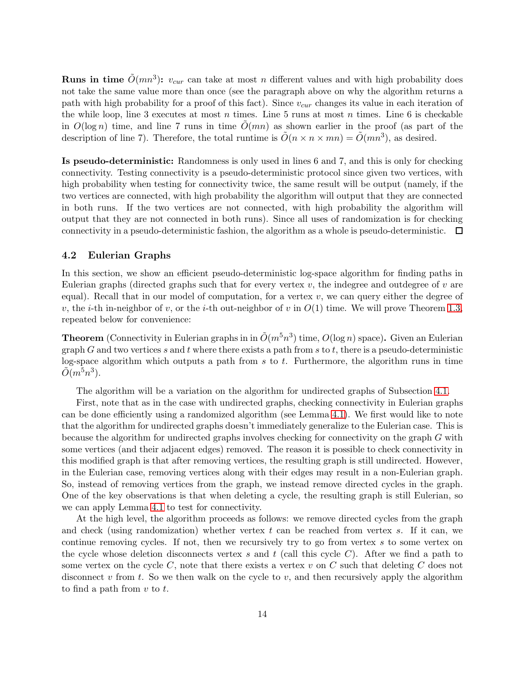**Runs in time**  $\tilde{O}(mn^3)$ :  $v_{cur}$  can take at most n different values and with high probability does not take the same value more than once (see the paragraph above on why the algorithm returns a path with high probability for a proof of this fact). Since  $v_{cur}$  changes its value in each iteration of the while loop, line 3 executes at most  $n$  times. Line 5 runs at most  $n$  times. Line 6 is checkable in  $O(\log n)$  time, and line 7 runs in time  $O(mn)$  as shown earlier in the proof (as part of the description of line 7). Therefore, the total runtime is  $\tilde{O}(n \times n \times mn) = \tilde{O}(mn^3)$ , as desired.

Is pseudo-deterministic: Randomness is only used in lines 6 and 7, and this is only for checking connectivity. Testing connectivity is a pseudo-deterministic protocol since given two vertices, with high probability when testing for connectivity twice, the same result will be output (namely, if the two vertices are connected, with high probability the algorithm will output that they are connected in both runs. If the two vertices are not connected, with high probability the algorithm will output that they are not connected in both runs). Since all uses of randomization is for checking connectivity in a pseudo-deterministic fashion, the algorithm as a whole is pseudo-deterministic.  $\Box$ 

#### <span id="page-14-0"></span>4.2 Eulerian Graphs

In this section, we show an efficient pseudo-deterministic log-space algorithm for finding paths in Eulerian graphs (directed graphs such that for every vertex  $v$ , the indegree and outdegree of  $v$  are equal). Recall that in our model of computation, for a vertex  $v$ , we can query either the degree of v, the *i*-th in-neighbor of v, or the *i*-th out-neighbor of v in  $O(1)$  time. We will prove Theorem [1.3,](#page-2-1) repeated below for convenience:

**Theorem** (Connectivity in Eulerian graphs in in  $\tilde{O}(m^5n^3)$  time,  $O(\log n)$  space). Given an Eulerian graph G and two vertices s and t where there exists a path from s to t, there is a pseudo-deterministic log-space algorithm which outputs a path from  $s$  to  $t$ . Furthermore, the algorithm runs in time  $\tilde{O}(m^5n^3)$ .

The algorithm will be a variation on the algorithm for undirected graphs of Subsection [4.1.](#page-11-1)

First, note that as in the case with undirected graphs, checking connectivity in Eulerian graphs can be done efficiently using a randomized algorithm (see Lemma [4.1\)](#page-11-0). We first would like to note that the algorithm for undirected graphs doesn't immediately generalize to the Eulerian case. This is because the algorithm for undirected graphs involves checking for connectivity on the graph G with some vertices (and their adjacent edges) removed. The reason it is possible to check connectivity in this modified graph is that after removing vertices, the resulting graph is still undirected. However, in the Eulerian case, removing vertices along with their edges may result in a non-Eulerian graph. So, instead of removing vertices from the graph, we instead remove directed cycles in the graph. One of the key observations is that when deleting a cycle, the resulting graph is still Eulerian, so we can apply Lemma [4.1](#page-11-0) to test for connectivity.

At the high level, the algorithm proceeds as follows: we remove directed cycles from the graph and check (using randomization) whether vertex  $t$  can be reached from vertex  $s$ . If it can, we continue removing cycles. If not, then we recursively try to go from vertex s to some vertex on the cycle whose deletion disconnects vertex s and t (call this cycle  $C$ ). After we find a path to some vertex on the cycle  $C$ , note that there exists a vertex  $v$  on  $C$  such that deleting  $C$  does not disconnect v from t. So we then walk on the cycle to v, and then recursively apply the algorithm to find a path from  $v$  to  $t$ .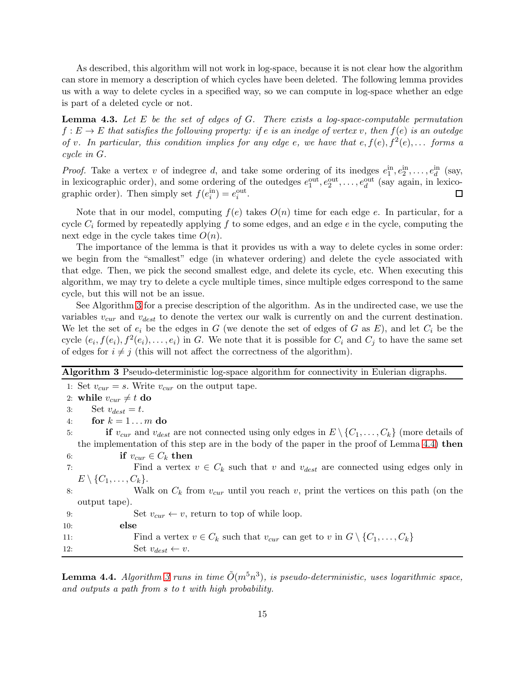As described, this algorithm will not work in log-space, because it is not clear how the algorithm can store in memory a description of which cycles have been deleted. The following lemma provides us with a way to delete cycles in a specified way, so we can compute in log-space whether an edge is part of a deleted cycle or not.

<span id="page-15-2"></span>Lemma 4.3. *Let* E *be the set of edges of* G*. There exists a log-space-computable permutation*  $f: E \to E$  *that satisfies the following property: if e is an inedge of vertex v, then*  $f(e)$  *is an outedge of* v. In particular, this condition implies for any edge e, we have that  $e, f(e), f^2(e), \ldots$  forms a *cycle in* G*.*

*Proof.* Take a vertex v of indegree d, and take some ordering of its inedges  $e_1^{\text{in}}, e_2^{\text{in}}, \ldots, e_d^{\text{in}}$  (say, in lexicographic order), and some ordering of the outedges  $e_1^{\text{out}}, e_2^{\text{out}}, \ldots, e_d^{\text{out}}$  (say again, in lexicographic order). Then simply set  $f(e_i^{\text{in}}) = e_i^{\text{out}}$ .  $\Box$ 

Note that in our model, computing  $f(e)$  takes  $O(n)$  time for each edge e. In particular, for a cycle  $C_i$  formed by repeatedly applying f to some edges, and an edge e in the cycle, computing the next edge in the cycle takes time  $O(n)$ .

The importance of the lemma is that it provides us with a way to delete cycles in some order: we begin from the "smallest" edge (in whatever ordering) and delete the cycle associated with that edge. Then, we pick the second smallest edge, and delete its cycle, etc. When executing this algorithm, we may try to delete a cycle multiple times, since multiple edges correspond to the same cycle, but this will not be an issue.

See Algorithm [3](#page-15-0) for a precise description of the algorithm. As in the undirected case, we use the variables  $v_{cur}$  and  $v_{dest}$  to denote the vertex our walk is currently on and the current destination. We let the set of  $e_i$  be the edges in G (we denote the set of edges of G as E), and let  $C_i$  be the cycle  $(e_i, f(e_i), f^2(e_i), \ldots, e_i)$  in G. We note that it is possible for  $C_i$  and  $C_j$  to have the same set of edges for  $i \neq j$  (this will not affect the correctness of the algorithm).

<span id="page-15-0"></span>Algorithm 3 Pseudo-deterministic log-space algorithm for connectivity in Eulerian digraphs.

1: Set  $v_{cur} = s$ . Write  $v_{cur}$  on the output tape. 2: while  $v_{cur} \neq t$  do 3: Set  $v_{dest} = t$ . 4: for  $k = 1...m$  do 5: if  $v_{cur}$  and  $v_{dest}$  are not connected using only edges in  $E \setminus \{C_1, \ldots, C_k\}$  (more details of the implementation of this step are in the body of the paper in the proof of Lemma [4.4\)](#page-15-1) then 6: if  $v_{cur} \in C_k$  then 7: Find a vertex  $v \in C_k$  such that v and  $v_{dest}$  are connected using edges only in  $E \setminus \{C_1, \ldots, C_k\}.$ 8: Walk on  $C_k$  from  $v_{cur}$  until you reach v, print the vertices on this path (on the output tape). 9: Set  $v_{cur} \leftarrow v$ , return to top of while loop. 10: else 11: Find a vertex  $v \in C_k$  such that  $v_{cur}$  can get to v in  $G \setminus \{C_1, \ldots, C_k\}$ 12:  $\qquad \qquad \text{Set } v_{dest} \leftarrow v.$ 

<span id="page-15-1"></span>**Lemma 4.4.** Algorithm [3](#page-15-0) runs in time  $\tilde{O}(m^5n^3)$ , is pseudo-deterministic, uses logarithmic space, *and outputs a path from* s *to* t *with high probability.*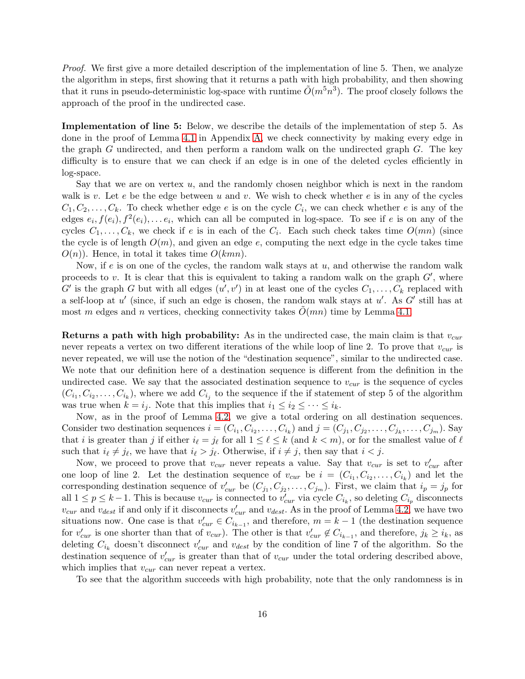*Proof.* We first give a more detailed description of the implementation of line 5. Then, we analyze the algorithm in steps, first showing that it returns a path with high probability, and then showing that it runs in pseudo-deterministic log-space with runtime  $\tilde{O}(m^5n^3)$ . The proof closely follows the approach of the proof in the undirected case.

Implementation of line 5: Below, we describe the details of the implementation of step 5. As done in the proof of Lemma [4.1](#page-11-0) in Appendix [A,](#page-19-5) we check connectivity by making every edge in the graph  $G$  undirected, and then perform a random walk on the undirected graph  $G$ . The key difficulty is to ensure that we can check if an edge is in one of the deleted cycles efficiently in log-space.

Say that we are on vertex  $u$ , and the randomly chosen neighbor which is next in the random walk is v. Let e be the edge between u and v. We wish to check whether e is in any of the cycles  $C_1, C_2, \ldots, C_k$ . To check whether edge e is on the cycle  $C_i$ , we can check whether e is any of the edges  $e_i, f(e_i), f^2(e_i), \ldots e_i$ , which can all be computed in log-space. To see if e is on any of the cycles  $C_1, \ldots, C_k$ , we check if e is in each of the  $C_i$ . Each such check takes time  $O(mn)$  (since the cycle is of length  $O(m)$ , and given an edge e, computing the next edge in the cycle takes time  $O(n)$ ). Hence, in total it takes time  $O(kmn)$ .

Now, if e is on one of the cycles, the random walk stays at  $u$ , and otherwise the random walk proceeds to v. It is clear that this is equivalent to taking a random walk on the graph  $G'$ , where  $G'$  is the graph G but with all edges  $(u', v')$  in at least one of the cycles  $C_1, \ldots, C_k$  replaced with a self-loop at  $u'$  (since, if such an edge is chosen, the random walk stays at  $u'$ . As  $G'$  still has at most m edges and n vertices, checking connectivity takes  $O(mn)$  time by Lemma [4.1.](#page-11-0)

**Returns a path with high probability:** As in the undirected case, the main claim is that  $v_{cur}$ never repeats a vertex on two different iterations of the while loop of line 2. To prove that  $v_{cur}$  is never repeated, we will use the notion of the "destination sequence", similar to the undirected case. We note that our definition here of a destination sequence is different from the definition in the undirected case. We say that the associated destination sequence to  $v_{cur}$  is the sequence of cycles  $(C_{i_1}, C_{i_2}, \ldots, C_{i_k})$ , where we add  $C_{i_j}$  to the sequence if the if statement of step 5 of the algorithm was true when  $k = i_j$ . Note that this implies that  $i_1 \leq i_2 \leq \cdots \leq i_k$ .

Now, as in the proof of Lemma [4.2,](#page-12-1) we give a total ordering on all destination sequences. Consider two destination sequences  $i = (C_{i_1}, C_{i_2}, \ldots, C_{i_k})$  and  $j = (C_{j_1}, C_{j_2}, \ldots, C_{j_k}, \ldots, C_{j_m})$ . Say that *i* is greater than *j* if either  $i_{\ell} = j_{\ell}$  for all  $1 \leq \ell \leq k$  (and  $k < m$ ), or for the smallest value of  $\ell$ such that  $i_{\ell} \neq j_{\ell}$ , we have that  $i_{\ell} > j_{\ell}$ . Otherwise, if  $i \neq j$ , then say that  $i < j$ .

Now, we proceed to prove that  $v_{cur}$  never repeats a value. Say that  $v_{cur}$  is set to  $v'_{cur}$  after one loop of line 2. Let the destination sequence of  $v_{cur}$  be  $i = (C_{i_1}, C_{i_2}, \ldots, C_{i_k})$  and let the corresponding destination sequence of  $v'_{cur}$  be  $(C_{j_1}, C_{j_2}, \ldots, C_{j_m})$ . First, we claim that  $i_p = j_p$  for all  $1 \leq p \leq k-1$ . This is because  $v_{cur}$  is connected to  $v'_{cur}$  via cycle  $C_{i_k}$ , so deleting  $C_{i_p}$  disconnects  $v_{cur}$  and  $v_{dest}$  if and only if it disconnects  $v'_{cur}$  and  $v_{dest}$ . As in the proof of Lemma [4.2,](#page-12-1) we have two situations now. One case is that  $v'_{cur} \in C_{i_{k-1}}$ , and therefore,  $m = k - 1$  (the destination sequence for  $v'_{cur}$  is one shorter than that of  $v_{cur}$ ). The other is that  $v'_{cur} \notin C_{i_{k-1}}$ , and therefore,  $j_k \ge i_k$ , as deleting  $C_{i_k}$  doesn't disconnect  $v'_{cur}$  and  $v_{dest}$  by the condition of line 7 of the algorithm. So the destination sequence of  $v'_{cur}$  is greater than that of  $v_{cur}$  under the total ordering described above, which implies that  $v_{\text{cur}}$  can never repeat a vertex.

To see that the algorithm succeeds with high probability, note that the only randomness is in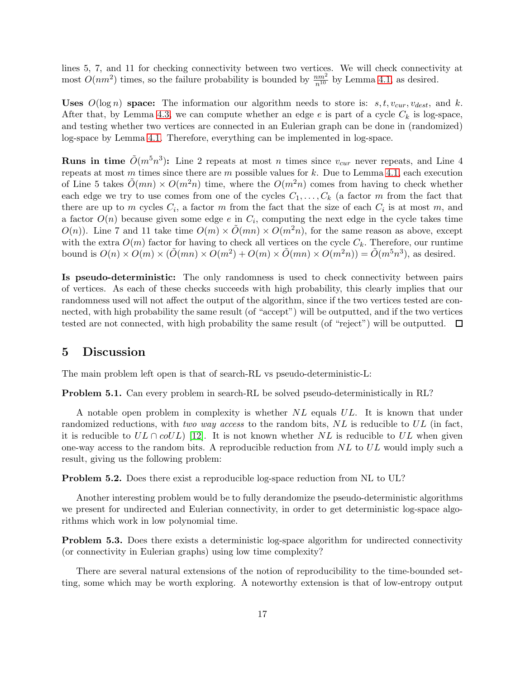lines 5, 7, and 11 for checking connectivity between two vertices. We will check connectivity at most  $O(nm^2)$  times, so the failure probability is bounded by  $\frac{nm^2}{n^{10}}$  by Lemma [4.1,](#page-11-0) as desired.

Uses  $O(\log n)$  space: The information our algorithm needs to store is: s, t,  $v_{cur}$ ,  $v_{dest}$ , and k. After that, by Lemma [4.3,](#page-15-2) we can compute whether an edge e is part of a cycle  $C_k$  is log-space, and testing whether two vertices are connected in an Eulerian graph can be done in (randomized) log-space by Lemma [4.1.](#page-11-0) Therefore, everything can be implemented in log-space.

**Runs in time**  $\tilde{O}(m^5n^3)$ : Line 2 repeats at most n times since  $v_{cur}$  never repeats, and Line 4 repeats at most m times since there are m possible values for k. Due to Lemma [4.1,](#page-11-0) each execution of Line 5 takes  $\tilde{O}(mn) \times O(m^2n)$  time, where the  $O(m^2n)$  comes from having to check whether each edge we try to use comes from one of the cycles  $C_1, \ldots, C_k$  (a factor m from the fact that there are up to m cycles  $C_i$ , a factor m from the fact that the size of each  $C_i$  is at most m, and a factor  $O(n)$  because given some edge  $e$  in  $C_i$ , computing the next edge in the cycle takes time  $O(n)$ . Line 7 and 11 take time  $O(m) \times O(mn) \times O(m^2n)$ , for the same reason as above, except with the extra  $O(m)$  factor for having to check all vertices on the cycle  $C_k$ . Therefore, our runtime bound is  $O(n) \times O(m) \times (\tilde{O}(mn) \times O(m^2) + O(m) \times \tilde{O}(mn) \times O(m^2n)) = \tilde{O}(m^5n^3)$ , as desired.

Is pseudo-deterministic: The only randomness is used to check connectivity between pairs of vertices. As each of these checks succeeds with high probability, this clearly implies that our randomness used will not affect the output of the algorithm, since if the two vertices tested are connected, with high probability the same result (of "accept") will be outputted, and if the two vertices tested are not connected, with high probability the same result (of "reject") will be outputted.  $\Box$ 

### 5 Discussion

The main problem left open is that of search-RL vs pseudo-deterministic-L:

Problem 5.1. Can every problem in search-RL be solved pseudo-deterministically in RL?

A notable open problem in complexity is whether  $NL$  equals  $UL$ . It is known that under randomized reductions, with *two way access* to the random bits, NL is reducible to UL (in fact, it is reducible to  $UL \cap colUL$  [\[12\]](#page-19-0). It is not known whether NL is reducible to UL when given one-way access to the random bits. A reproducible reduction from NL to UL would imply such a result, giving us the following problem:

Problem 5.2. Does there exist a reproducible log-space reduction from NL to UL?

Another interesting problem would be to fully derandomize the pseudo-deterministic algorithms we present for undirected and Eulerian connectivity, in order to get deterministic log-space algorithms which work in low polynomial time.

**Problem 5.3.** Does there exists a deterministic log-space algorithm for undirected connectivity (or connectivity in Eulerian graphs) using low time complexity?

There are several natural extensions of the notion of reproducibility to the time-bounded setting, some which may be worth exploring. A noteworthy extension is that of low-entropy output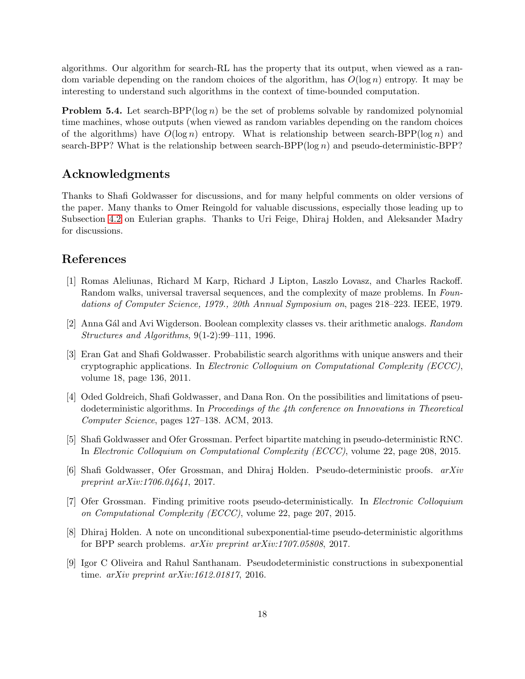algorithms. Our algorithm for search-RL has the property that its output, when viewed as a random variable depending on the random choices of the algorithm, has  $O(\log n)$  entropy. It may be interesting to understand such algorithms in the context of time-bounded computation.

**Problem 5.4.** Let search-BPP( $log n$ ) be the set of problems solvable by randomized polynomial time machines, whose outputs (when viewed as random variables depending on the random choices of the algorithms) have  $O(\log n)$  entropy. What is relationship between search-BPP( $(\log n)$ ) and search-BPP? What is the relationship between search-BPP( $log n$ ) and pseudo-deterministic-BPP?

## Acknowledgments

Thanks to Shafi Goldwasser for discussions, and for many helpful comments on older versions of the paper. Many thanks to Omer Reingold for valuable discussions, especially those leading up to Subsection [4.2](#page-14-0) on Eulerian graphs. Thanks to Uri Feige, Dhiraj Holden, and Aleksander Madry for discussions.

## <span id="page-18-8"></span>References

- [1] Romas Aleliunas, Richard M Karp, Richard J Lipton, Laszlo Lovasz, and Charles Rackoff. Random walks, universal traversal sequences, and the complexity of maze problems. In *Foundations of Computer Science, 1979., 20th Annual Symposium on*, pages 218–223. IEEE, 1979.
- <span id="page-18-1"></span><span id="page-18-0"></span>[2] Anna G´al and Avi Wigderson. Boolean complexity classes vs. their arithmetic analogs. *Random Structures and Algorithms*, 9(1-2):99–111, 1996.
- [3] Eran Gat and Shafi Goldwasser. Probabilistic search algorithms with unique answers and their cryptographic applications. In *Electronic Colloquium on Computational Complexity (ECCC)*, volume 18, page 136, 2011.
- <span id="page-18-4"></span>[4] Oded Goldreich, Shafi Goldwasser, and Dana Ron. On the possibilities and limitations of pseudodeterministic algorithms. In *Proceedings of the 4th conference on Innovations in Theoretical Computer Science*, pages 127–138. ACM, 2013.
- <span id="page-18-3"></span>[5] Shafi Goldwasser and Ofer Grossman. Perfect bipartite matching in pseudo-deterministic RNC. In *Electronic Colloquium on Computational Complexity (ECCC)*, volume 22, page 208, 2015.
- <span id="page-18-5"></span>[6] Shafi Goldwasser, Ofer Grossman, and Dhiraj Holden. Pseudo-deterministic proofs. *arXiv preprint arXiv:1706.04641*, 2017.
- <span id="page-18-2"></span>[7] Ofer Grossman. Finding primitive roots pseudo-deterministically. In *Electronic Colloquium on Computational Complexity (ECCC)*, volume 22, page 207, 2015.
- <span id="page-18-6"></span>[8] Dhiraj Holden. A note on unconditional subexponential-time pseudo-deterministic algorithms for BPP search problems. *arXiv preprint arXiv:1707.05808*, 2017.
- <span id="page-18-7"></span>[9] Igor C Oliveira and Rahul Santhanam. Pseudodeterministic constructions in subexponential time. *arXiv preprint arXiv:1612.01817*, 2016.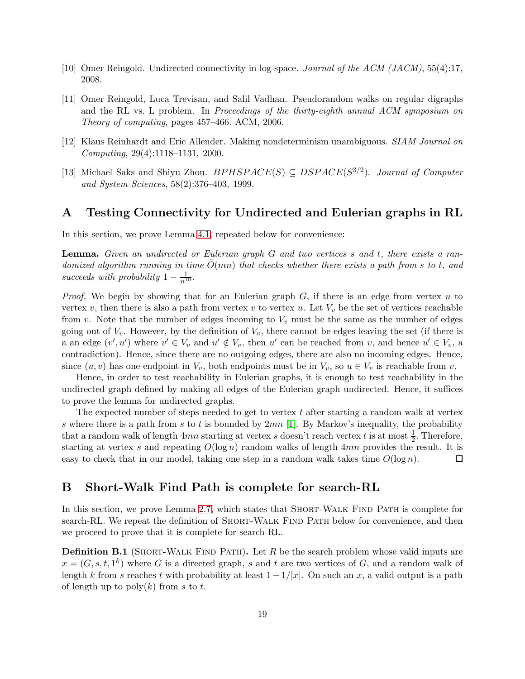- <span id="page-19-2"></span><span id="page-19-1"></span>[10] Omer Reingold. Undirected connectivity in log-space. *Journal of the ACM (JACM)*, 55(4):17, 2008.
- [11] Omer Reingold, Luca Trevisan, and Salil Vadhan. Pseudorandom walks on regular digraphs and the RL vs. L problem. In *Proceedings of the thirty-eighth annual ACM symposium on Theory of computing*, pages 457–466. ACM, 2006.
- <span id="page-19-3"></span><span id="page-19-0"></span>[12] Klaus Reinhardt and Eric Allender. Making nondeterminism unambiguous. *SIAM Journal on Computing*, 29(4):1118–1131, 2000.
- [13] Michael Saks and Shiyu Zhou.  $BPHSPACE(S) \subseteq DSPACE(S^{3/2})$ . *Journal of Computer and System Sciences*, 58(2):376–403, 1999.

### <span id="page-19-5"></span>A Testing Connectivity for Undirected and Eulerian graphs in RL

In this section, we prove Lemma [4.1,](#page-11-0) repeated below for convenience:

Lemma. *Given an undirected or Eulerian graph* G *and two vertices* s *and* t*, there exists a randomized algorithm running in time*  $\tilde{O}(mn)$  *that checks whether there exists a path from s to t, and succeeds with probability*  $1 - \frac{1}{n^{10}}$ .

*Proof.* We begin by showing that for an Eulerian graph G, if there is an edge from vertex u to vertex v, then there is also a path from vertex v to vertex u. Let  $V_v$  be the set of vertices reachable from v. Note that the number of edges incoming to  $V_v$  must be the same as the number of edges going out of  $V_v$ . However, by the definition of  $V_v$ , there cannot be edges leaving the set (if there is a an edge  $(v', u')$  where  $v' \in V_v$  and  $u' \notin V_v$ , then u' can be reached from v, and hence  $u' \in V_v$ , a contradiction). Hence, since there are no outgoing edges, there are also no incoming edges. Hence, since  $(u, v)$  has one endpoint in  $V_v$ , both endpoints must be in  $V_v$ , so  $u \in V_v$  is reachable from v.

Hence, in order to test reachability in Eulerian graphs, it is enough to test reachability in the undirected graph defined by making all edges of the Eulerian graph undirected. Hence, it suffices to prove the lemma for undirected graphs.

The expected number of steps needed to get to vertex  $t$  after starting a random walk at vertex s where there is a path from s to t is bounded by  $2mn$  [\[1\]](#page-18-8). By Markov's inequality, the probability that a random walk of length  $4mn$  starting at vertex s doesn't reach vertex t is at most  $\frac{1}{2}$ . Therefore, starting at vertex s and repeating  $O(\log n)$  random walks of length 4mn provides the result. It is easy to check that in our model, taking one step in a random walk takes time  $O(\log n)$ . □

### <span id="page-19-4"></span>B Short-Walk Find Path is complete for search-RL

In this section, we prove Lemma [2.7,](#page-4-1) which states that SHORT-WALK FIND PATH is complete for search-RL. We repeat the definition of SHORT-WALK FIND PATH below for convenience, and then we proceed to prove that it is complete for search-RL.

**Definition B.1** (SHORT-WALK FIND PATH). Let R be the search problem whose valid inputs are  $x = (G, s, t, 1<sup>k</sup>)$  where G is a directed graph, s and t are two vertices of G, and a random walk of length k from s reaches t with probability at least  $1-1/|x|$ . On such an x, a valid output is a path of length up to  $\text{poly}(k)$  from s to t.